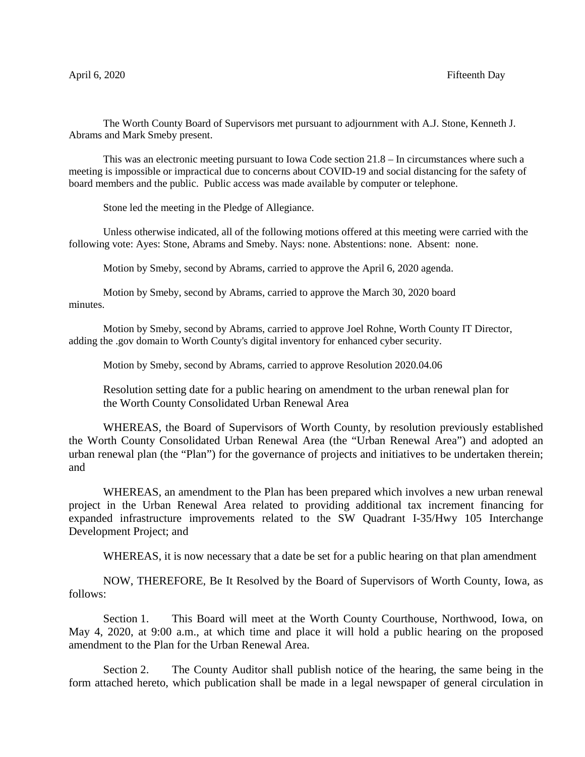The Worth County Board of Supervisors met pursuant to adjournment with A.J. Stone, Kenneth J. Abrams and Mark Smeby present.

This was an electronic meeting pursuant to Iowa Code section 21.8 – In circumstances where such a meeting is impossible or impractical due to concerns about COVID-19 and social distancing for the safety of board members and the public. Public access was made available by computer or telephone.

Stone led the meeting in the Pledge of Allegiance.

Unless otherwise indicated, all of the following motions offered at this meeting were carried with the following vote: Ayes: Stone, Abrams and Smeby. Nays: none. Abstentions: none. Absent: none.

Motion by Smeby, second by Abrams, carried to approve the April 6, 2020 agenda.

Motion by Smeby, second by Abrams, carried to approve the March 30, 2020 board minutes.

Motion by Smeby, second by Abrams, carried to approve Joel Rohne, Worth County IT Director, adding the .gov domain to Worth County's digital inventory for enhanced cyber security.

Motion by Smeby, second by Abrams, carried to approve Resolution 2020.04.06

Resolution setting date for a public hearing on amendment to the urban renewal plan for the Worth County Consolidated Urban Renewal Area

WHEREAS, the Board of Supervisors of Worth County, by resolution previously established the Worth County Consolidated Urban Renewal Area (the "Urban Renewal Area") and adopted an urban renewal plan (the "Plan") for the governance of projects and initiatives to be undertaken therein; and

WHEREAS, an amendment to the Plan has been prepared which involves a new urban renewal project in the Urban Renewal Area related to providing additional tax increment financing for expanded infrastructure improvements related to the SW Quadrant I-35/Hwy 105 Interchange Development Project; and

WHEREAS, it is now necessary that a date be set for a public hearing on that plan amendment

NOW, THEREFORE, Be It Resolved by the Board of Supervisors of Worth County, Iowa, as follows:

Section 1. This Board will meet at the Worth County Courthouse, Northwood, Iowa, on May 4, 2020, at 9:00 a.m., at which time and place it will hold a public hearing on the proposed amendment to the Plan for the Urban Renewal Area.

Section 2. The County Auditor shall publish notice of the hearing, the same being in the form attached hereto, which publication shall be made in a legal newspaper of general circulation in